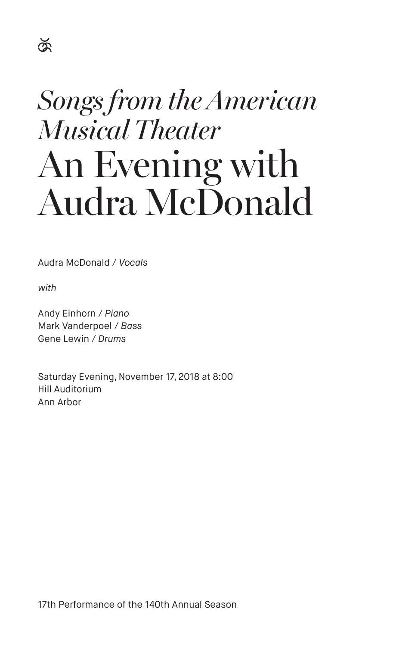## $\breve{\mathbb{R}}$

# *Songs from the American Musical Theater* An Evening with Audra McDonald

Audra McDonald / *Vocals*

*with*

Andy Einhorn / *Piano* Mark Vanderpoel / *Bass* Gene Lewin / *Drums*

Saturday Evening, November 17, 2018 at 8:00 Hill Auditorium Ann Arbor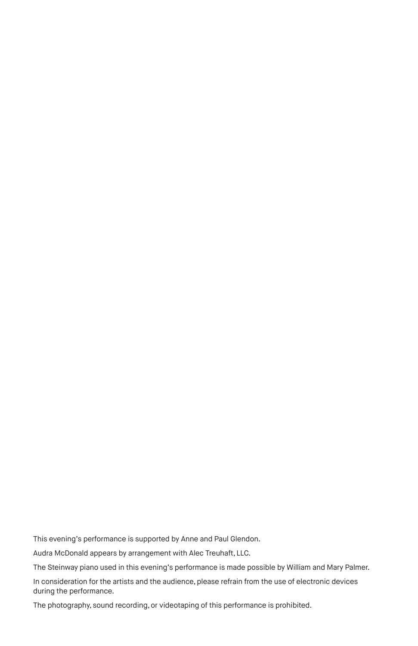This evening's performance is supported by Anne and Paul Glendon.

Audra McDonald appears by arrangement with Alec Treuhaft, LLC.

The Steinway piano used in this evening's performance is made possible by William and Mary Palmer.

In consideration for the artists and the audience, please refrain from the use of electronic devices during the performance.

The photography, sound recording, or videotaping of this performance is prohibited.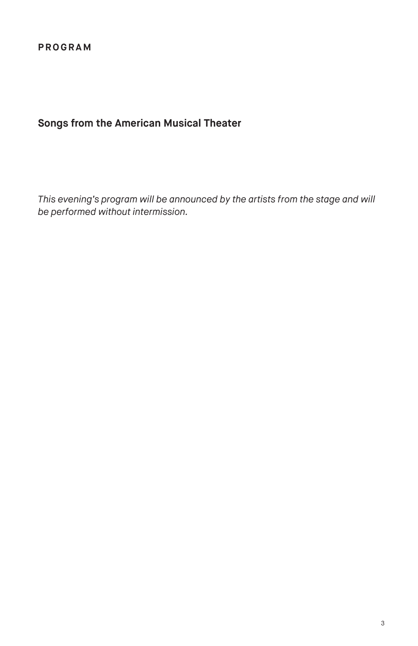### **Songs from the American Musical Theater**

*This evening's program will be announced by the artists from the stage and will be performed without intermission.*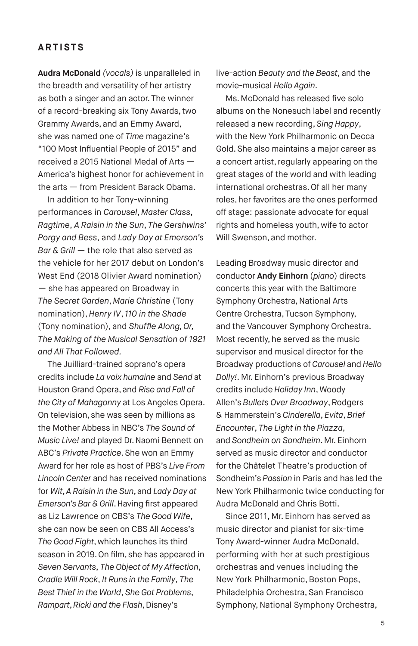#### **ARTISTS**

**Audra McDonald** *(vocals)* is unparalleled in the breadth and versatility of her artistry as both a singer and an actor. The winner of a record-breaking six Tony Awards, two Grammy Awards, and an Emmy Award, she was named one of *Time* magazine's "100 Most Influential People of 2015" and received a 2015 National Medal of Arts — America's highest honor for achievement in the arts — from President Barack Obama.

In addition to her Tony-winning performances in *Carousel*, *Master Class*, *Ragtime*, *A Raisin in the Sun*, *The Gershwins' Porgy and Bess*, and *Lady Day at Emerson's Bar & Grill —* the role that also served as the vehicle for her 2017 debut on London's West End (2018 Olivier Award nomination) — she has appeared on Broadway in *The Secret Garden*, *Marie Christine* (Tony nomination), *Henry IV*, *110 in the Shade* (Tony nomination), and *Shuffle Along, Or, The Making of the Musical Sensation of 1921 and All That Followed.* 

The Juilliard-trained soprano's opera credits include *La voix humaine* and *Send* at Houston Grand Opera, and *Rise and Fall of the City of Mahagonny* at Los Angeles Opera. On television, she was seen by millions as the Mother Abbess in NBC's *The Sound of Music Live!* and played Dr. Naomi Bennett on ABC's *Private Practice*. She won an Emmy Award for her role as host of PBS's *Live From Lincoln Center* and has received nominations for *Wit*, *A Raisin in the Sun*, and *Lady Day at Emerson's Bar & Grill*. Having first appeared as Liz Lawrence on CBS's *The Good Wife*, she can now be seen on CBS All Access's *The Good Fight*, which launches its third season in 2019. On film, she has appeared in *Seven Servants*, *The Object of My Affection*, *Cradle Will Rock*, *It Runs in the Family*, *The Best Thief in the World*, *She Got Problems*, *Rampart*, *Ricki and the Flash*, Disney's

live-action *Beauty and the Beast*, and the movie-musical *Hello Again*.

Ms. McDonald has released five solo albums on the Nonesuch label and recently released a new recording, *Sing Happy*, with the New York Philharmonic on Decca Gold. She also maintains a major career as a concert artist, regularly appearing on the great stages of the world and with leading international orchestras. Of all her many roles, her favorites are the ones performed off stage: passionate advocate for equal rights and homeless youth, wife to actor Will Swenson, and mother.

Leading Broadway music director and conductor **Andy Einhorn** (*piano*) directs concerts this year with the Baltimore Symphony Orchestra, National Arts Centre Orchestra, Tucson Symphony, and the Vancouver Symphony Orchestra. Most recently, he served as the music supervisor and musical director for the Broadway productions of *Carousel* and *Hello Dolly!*. Mr. Einhorn's previous Broadway credits include *Holiday Inn*, Woody Allen's *Bullets Over Broadway*, Rodgers & Hammerstein's *Cinderella*, *Evita*, *Brief Encounter*, *The Light in the Piazza*, and *Sondheim on Sondheim*. Mr. Einhorn served as music director and conductor for the Châtelet Theatre's production of Sondheim's *Passion* in Paris and has led the New York Philharmonic twice conducting for Audra McDonald and Chris Botti.

Since 2011, Mr. Einhorn has served as music director and pianist for six-time Tony Award-winner Audra McDonald, performing with her at such prestigious orchestras and venues including the New York Philharmonic, Boston Pops, Philadelphia Orchestra, San Francisco Symphony, National Symphony Orchestra,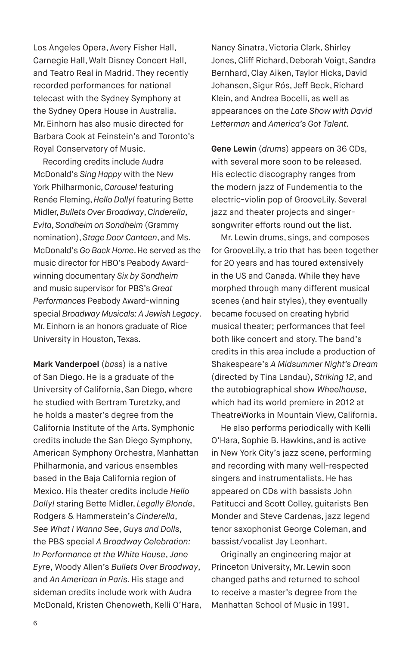Los Angeles Opera, Avery Fisher Hall, Carnegie Hall, Walt Disney Concert Hall, and Teatro Real in Madrid. They recently recorded performances for national telecast with the Sydney Symphony at the Sydney Opera House in Australia. Mr. Einhorn has also music directed for Barbara Cook at Feinstein's and Toronto's Royal Conservatory of Music.

Recording credits include Audra McDonald's *Sing Happy* with the New York Philharmonic, *Carousel* featuring Renée Fleming, *Hello Dolly!* featuring Bette Midler, *Bullets Over Broadway*, *Cinderella*, *Evita*, *Sondheim on Sondheim* (Grammy nomination), *Stage Door Canteen*, and Ms. McDonald's *Go Back Home*. He served as the music director for HBO's Peabody Awardwinning documentary *Six by Sondheim* and music supervisor for PBS's *Great Performances* Peabody Award-winning special *Broadway Musicals: A Jewish Legacy*. Mr. Einhorn is an honors graduate of Rice University in Houston, Texas.

**Mark Vanderpoel** (*bass*) is a native of San Diego. He is a graduate of the University of California, San Diego, where he studied with Bertram Turetzky, and he holds a master's degree from the California Institute of the Arts. Symphonic credits include the San Diego Symphony, American Symphony Orchestra, Manhattan Philharmonia, and various ensembles based in the Baja California region of Mexico. His theater credits include *Hello Dolly!* staring Bette Midler, *Legally Blonde*, Rodgers & Hammerstein's *Cinderella*, *See What I Wanna See*, *Guys and Dolls*, the PBS special *A Broadway Celebration: In Performance at the White House*, *Jane Eyre*, Woody Allen's *Bullets Over Broadway*, and *An American in Paris*. His stage and sideman credits include work with Audra McDonald, Kristen Chenoweth, Kelli O'Hara,

Nancy Sinatra, Victoria Clark, Shirley Jones, Cliff Richard, Deborah Voigt, Sandra Bernhard, Clay Aiken, Taylor Hicks, David Johansen, Sigur Rós, Jeff Beck, Richard Klein, and Andrea Bocelli, as well as appearances on the *Late Show with David Letterman* and *America's Got Talent.* 

**Gene Lewin** (*drums*) appears on 36 CDs, with several more soon to be released. His eclectic discography ranges from the modern jazz of Fundementia to the electric-violin pop of GrooveLily. Several jazz and theater projects and singersongwriter efforts round out the list.

Mr. Lewin drums, sings, and composes for GrooveLily, a trio that has been together for 20 years and has toured extensively in the US and Canada. While they have morphed through many different musical scenes (and hair styles), they eventually became focused on creating hybrid musical theater; performances that feel both like concert and story. The band's credits in this area include a production of Shakespeare's *A Midsummer Night's Dream* (directed by Tina Landau), *Striking 12*, and the autobiographical show *Wheelhouse*, which had its world premiere in 2012 at TheatreWorks in Mountain View, California.

He also performs periodically with Kelli O'Hara, Sophie B. Hawkins, and is active in New York City's jazz scene, performing and recording with many well-respected singers and instrumentalists. He has appeared on CDs with bassists John Patitucci and Scott Colley, guitarists Ben Monder and Steve Cardenas, jazz legend tenor saxophonist George Coleman, and bassist/vocalist Jay Leonhart.

Originally an engineering major at Princeton University, Mr. Lewin soon changed paths and returned to school to receive a master's degree from the Manhattan School of Music in 1991.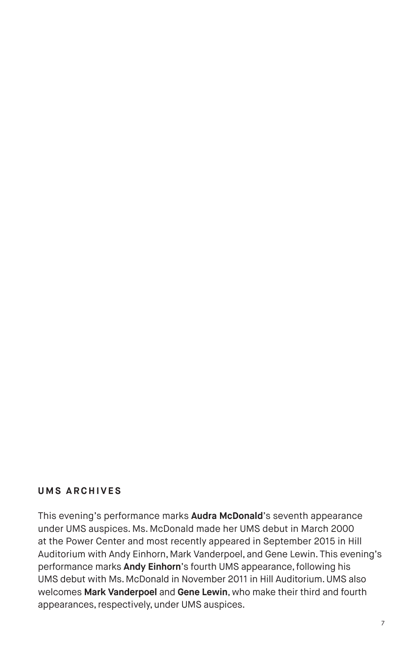#### **UMS ARCHIVES**

This evening's performance marks **Audra McDonald**'s seventh appearance under UMS auspices. Ms. McDonald made her UMS debut in March 2000 at the Power Center and most recently appeared in September 2015 in Hill Auditorium with Andy Einhorn, Mark Vanderpoel, and Gene Lewin. This evening's performance marks **Andy Einhorn**'s fourth UMS appearance, following his UMS debut with Ms. McDonald in November 2011 in Hill Auditorium. UMS also welcomes **Mark Vanderpoel** and **Gene Lewin**, who make their third and fourth appearances, respectively, under UMS auspices.